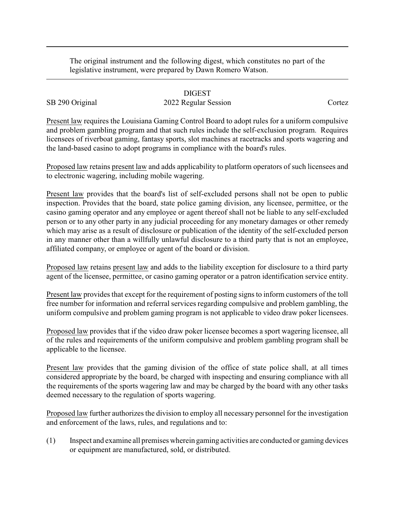The original instrument and the following digest, which constitutes no part of the legislative instrument, were prepared by Dawn Romero Watson.

## DIGEST

## SB 290 Original 2022 Regular Session Cortez

Present law requires the Louisiana Gaming Control Board to adopt rules for a uniform compulsive and problem gambling program and that such rules include the self-exclusion program. Requires licensees of riverboat gaming, fantasy sports, slot machines at racetracks and sports wagering and the land-based casino to adopt programs in compliance with the board's rules.

Proposed law retains present law and adds applicability to platform operators of such licensees and to electronic wagering, including mobile wagering.

Present law provides that the board's list of self-excluded persons shall not be open to public inspection. Provides that the board, state police gaming division, any licensee, permittee, or the casino gaming operator and any employee or agent thereof shall not be liable to any self-excluded person or to any other party in any judicial proceeding for any monetary damages or other remedy which may arise as a result of disclosure or publication of the identity of the self-excluded person in any manner other than a willfully unlawful disclosure to a third party that is not an employee, affiliated company, or employee or agent of the board or division.

Proposed law retains present law and adds to the liability exception for disclosure to a third party agent of the licensee, permittee, or casino gaming operator or a patron identification service entity.

Present law provides that except for the requirement of posting signs to inform customers of the toll free number for information and referral services regarding compulsive and problem gambling, the uniform compulsive and problem gaming program is not applicable to video draw poker licensees.

Proposed law provides that if the video draw poker licensee becomes a sport wagering licensee, all of the rules and requirements of the uniform compulsive and problem gambling program shall be applicable to the licensee.

Present law provides that the gaming division of the office of state police shall, at all times considered appropriate by the board, be charged with inspecting and ensuring compliance with all the requirements of the sports wagering law and may be charged by the board with any other tasks deemed necessary to the regulation of sports wagering.

Proposed law further authorizes the division to employ all necessary personnel for the investigation and enforcement of the laws, rules, and regulations and to:

(1) Inspect and examine all premises wherein gaming activities are conducted or gaming devices or equipment are manufactured, sold, or distributed.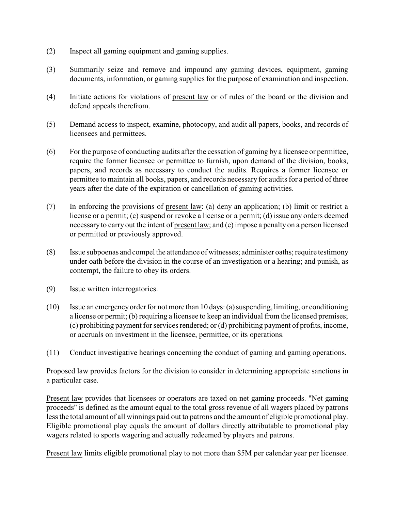- (2) Inspect all gaming equipment and gaming supplies.
- (3) Summarily seize and remove and impound any gaming devices, equipment, gaming documents, information, or gaming supplies for the purpose of examination and inspection.
- (4) Initiate actions for violations of present law or of rules of the board or the division and defend appeals therefrom.
- (5) Demand access to inspect, examine, photocopy, and audit all papers, books, and records of licensees and permittees.
- (6) For the purpose of conducting audits after the cessation of gaming by a licensee or permittee, require the former licensee or permittee to furnish, upon demand of the division, books, papers, and records as necessary to conduct the audits. Requires a former licensee or permittee to maintain all books, papers, and records necessary for audits for a period of three years after the date of the expiration or cancellation of gaming activities.
- (7) In enforcing the provisions of present law: (a) deny an application; (b) limit or restrict a license or a permit; (c) suspend or revoke a license or a permit; (d) issue any orders deemed necessary to carry out the intent of present law; and (e) impose a penalty on a person licensed or permitted or previously approved.
- (8) Issue subpoenas and compel the attendance of witnesses; administer oaths; require testimony under oath before the division in the course of an investigation or a hearing; and punish, as contempt, the failure to obey its orders.
- (9) Issue written interrogatories.
- (10) Issue an emergency order for not more than 10 days: (a) suspending, limiting, or conditioning a license or permit; (b) requiring a licensee to keep an individual from the licensed premises; (c) prohibiting payment for services rendered; or (d) prohibiting payment of profits, income, or accruals on investment in the licensee, permittee, or its operations.
- (11) Conduct investigative hearings concerning the conduct of gaming and gaming operations.

Proposed law provides factors for the division to consider in determining appropriate sanctions in a particular case.

Present law provides that licensees or operators are taxed on net gaming proceeds. "Net gaming proceeds" is defined as the amount equal to the total gross revenue of all wagers placed by patrons less the total amount of all winnings paid out to patrons and the amount of eligible promotional play. Eligible promotional play equals the amount of dollars directly attributable to promotional play wagers related to sports wagering and actually redeemed by players and patrons.

Present law limits eligible promotional play to not more than \$5M per calendar year per licensee.